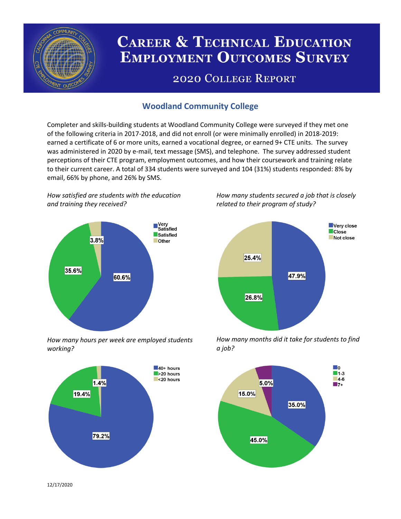

# **CAREER & TECHNICAL EDUCATION EMPLOYMENT OUTCOMES SURVEY**

## **2020 COLLEGE REPORT**

## **Woodland Community College**

Completer and skills-building students at Woodland Community College were surveyed if they met one of the following criteria in 2017-2018, and did not enroll (or were minimally enrolled) in 2018-2019: earned a certificate of 6 or more units, earned a vocational degree, or earned 9+ CTE units. The survey was administered in 2020 by e-mail, text message (SMS), and telephone. The survey addressed student perceptions of their CTE program, employment outcomes, and how their coursework and training relate to their current career. A total of 334 students were surveyed and 104 (31%) students responded: 8% by email, 66% by phone, and 26% by SMS.

*How satisfied are students with the education and training they received?*



*How many hours per week are employed students working?*



*How many students secured a job that is closely related to their program of study?*



*How many months did it take for students to find a job?*



12/17/2020